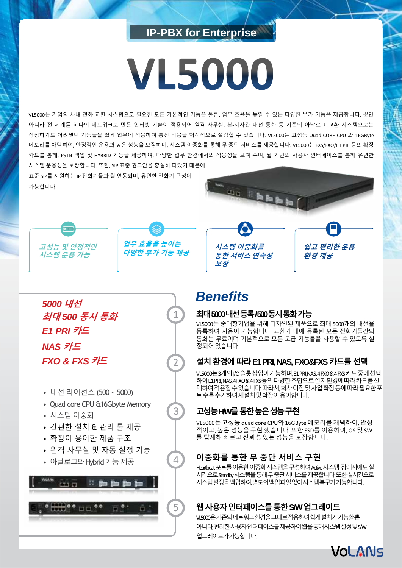# **IP-PBX for Enterprise**

# **VL5000**

VL5000는 기업의 사내 전화 교환 시스템으로 필요한 모든 기본적인 기능은 물론, 업무 효율을 높일 수 있는 다양한 부가 기능을 제공합니다. 뿐만 아니라 전 세계를 하나의 네트워크로 만든 인터넷 기술이 적용되어 원격 사무실, 본-지사간 내선 통화 등 기존의 아날로그 교환 시스템으로는 상상하기도 어려웠던 기능들을 쉽게 업무에 적용하여 통신 비용을 혁신적으로 절감할 수 있습니다. VL5000는 고성능 Quad CORE CPU 와 16GByte 메모리를 채택하여, 안정적인 운용과 높은 성능을 보장하며, 시스템 이중화를 통해 무 중단 서비스를 제공합니다. VL5000는 FXS/FXO/E1 PRI 등의 확장 카드를 통해, PSTN 백업 및 HYBRID 기능을 제공하여, 다양한 업무 환경에서의 적응성을 보여 주며, 웹 기반의 사용자 인터페이스를 통해 유연한 시스템 운용성을 보장합니다. 또한, SIP 표준 권고안을 충실히 따랐기 때문에

표준 SIP를 지원하는 IP 전화기들과 잘 연동되며, 유연한 전화기 구성이 가능합니다.



**쉽고 편리한 운용**

**환경 제공**





1

2

3

4



- 내선 라이선스 (500 ~ 5000)
- Quad core CPU &16Gbyte Memory
- 시스템 이중화
- 간편한 설치 & 관리 툴 제공
- 확장이 용이한 제품 구조
- 원격 사무실 및 자동 설정 기능
- 아날로그와 Hybrid 기능 제공



# *Benefits*

**보장**

**시스템 이중화를 통한 서비스 연속성**

### **최대5000 내선등록/ 500 동시통화가능**

VL5000는 중대형기업을 위해 디자인된 제품으로 최대 5000개의 내선을 등록하여 사용이 가능합니다. 교환기 내에 등록된 모든 전화기들간의 통화는 무료이며 기본적으로 모든 고급 기능들을 사용할 수 있도록 설 정되어 있습니다.

# **설치환경에따라E1 PRI, NAS, FXO&FXS 카드를선택**

VL5000는3개의I/O 슬롯삽입이가능하며, E1 PRI,NAS, 4 FXO & 4 FXS 카드중에선택 하여E1 PRI, NAS, 4 FXO & 4 FXS 등의다양한조합으로설치환경에따라카드를선 택하여적용할수있습니다. 따라서, 회사이전및사업확장등에따라필요한포 트수를추가하여재설치및확장이용이합니다.

# **고성능H/W를통한높은성능구현**

VL5000는고성능 quad core CPU와16GByte 메모리를 채택하여, 안정 적이고, 높은 성능을구현 했습니다. 또한 SSD를 이용하여, OS 및 SW 를 탑재해 빠르고 신뢰성있는 성능을 보장합니다.

# **이중화를 통한 무 중단 서비스 구현**

Heartbeat 포트를 이용한 이중화시스템을 구성하여 Active 시스템 장애시에도 실 시간으로Standby시스템을통해무중단서비스를제공합니다.또한실시간으로 시스템설정을백업하여,별도의백업파일없이시스템복구가가능합니다.

# **웹사용자인터페이스를통한S/W 업그레이드**

VL5000은기존의네트워크환경을그대로적용하여쉽게설치가가능할뿐 아니라,편리한사용자인터페이스를제공하여웹을통해시스템설정및S/W 업그레이드가가능합니다.